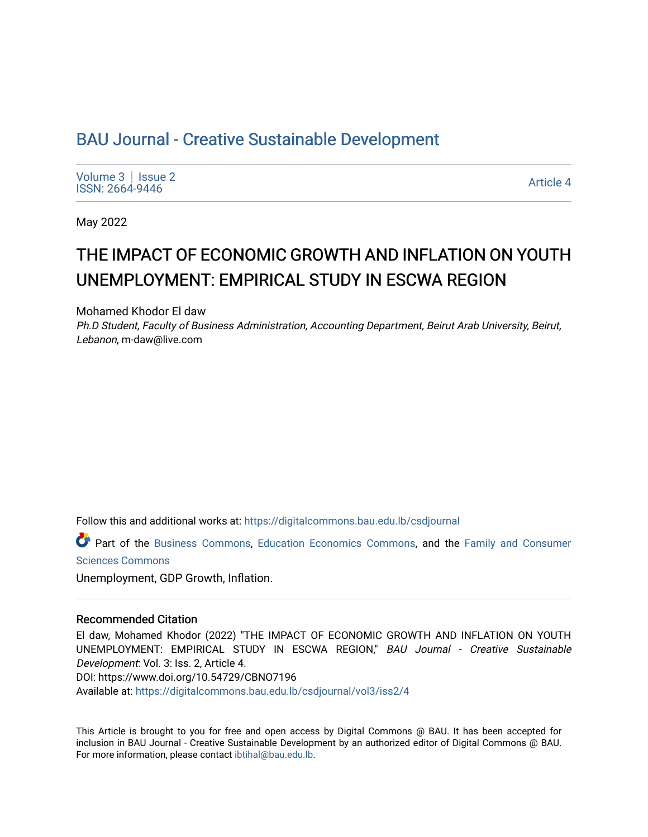## BAU Journal - Creative Sustainable Development

[Volume 3](https://digitalcommons.bau.edu.lb/csdjournal/vol3) | Issue 2 Produce 3 | ISSUE 2<br>ISSN: 2664-9446 Article 4

May 2022

# THE IMPACT OF ECONOMIC GROWTH AND INFLATION ON YOUTH UNEMPLOYMENT: EMPIRICAL STUDY IN ESCWA REGION

Mohamed Khodor El daw

Ph.D Student, Faculty of Business Administration, Accounting Department, Beirut Arab University, Beirut, Lebanon, m-daw@live.com

Follow this and additional works at: [https://digitalcommons.bau.edu.lb/csdjournal](https://digitalcommons.bau.edu.lb/csdjournal?utm_source=digitalcommons.bau.edu.lb%2Fcsdjournal%2Fvol3%2Fiss2%2F4&utm_medium=PDF&utm_campaign=PDFCoverPages) 

Part of the [Business Commons](https://network.bepress.com/hgg/discipline/622?utm_source=digitalcommons.bau.edu.lb%2Fcsdjournal%2Fvol3%2Fiss2%2F4&utm_medium=PDF&utm_campaign=PDFCoverPages), [Education Economics Commons,](https://network.bepress.com/hgg/discipline/1262?utm_source=digitalcommons.bau.edu.lb%2Fcsdjournal%2Fvol3%2Fiss2%2F4&utm_medium=PDF&utm_campaign=PDFCoverPages) and the Family and Consumer [Sciences Commons](https://network.bepress.com/hgg/discipline/1055?utm_source=digitalcommons.bau.edu.lb%2Fcsdjournal%2Fvol3%2Fiss2%2F4&utm_medium=PDF&utm_campaign=PDFCoverPages) 

Unemployment, GDP Growth, Inflation.

#### Recommended Citation

El daw, Mohamed Khodor (2022) "THE IMPACT OF ECONOMIC GROWTH AND INFLATION ON YOUTH UNEMPLOYMENT: EMPIRICAL STUDY IN ESCWA REGION," BAU Journal - Creative Sustainable Development: Vol. 3: Iss. 2, Article 4. DOI: https://www.doi.org/10.54729/CBNO7196

Available at: [https://digitalcommons.bau.edu.lb/csdjournal/vol3/iss2/4](https://digitalcommons.bau.edu.lb/csdjournal/vol3/iss2/4?utm_source=digitalcommons.bau.edu.lb%2Fcsdjournal%2Fvol3%2Fiss2%2F4&utm_medium=PDF&utm_campaign=PDFCoverPages) 

This Article is brought to you for free and open access by Digital Commons @ BAU. It has been accepted for inclusion in BAU Journal - Creative Sustainable Development by an authorized editor of Digital Commons @ BAU. For more information, please contact [ibtihal@bau.edu.lb.](mailto:ibtihal@bau.edu.lb)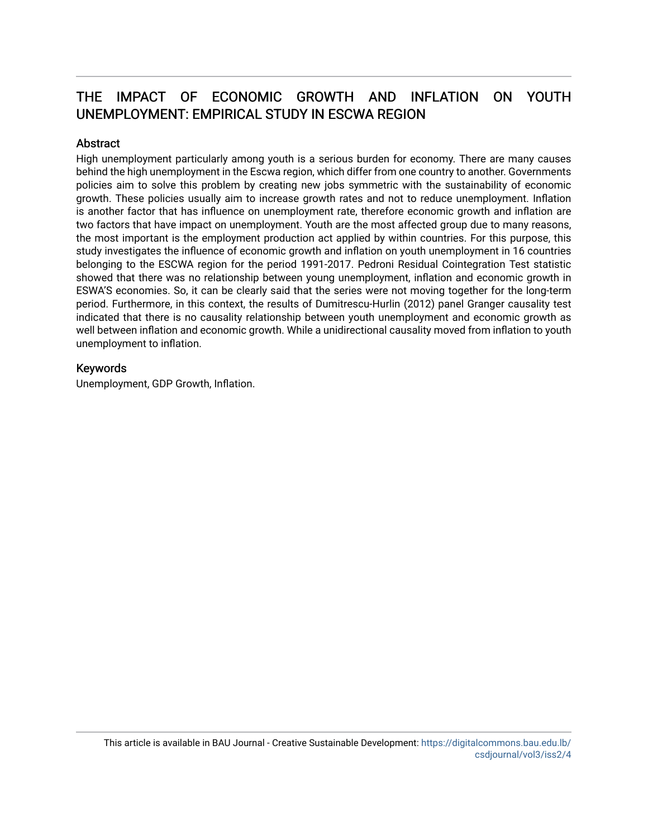## THE IMPACT OF ECONOMIC GROWTH AND INFLATION ON YOUTH UNEMPLOYMENT: EMPIRICAL STUDY IN ESCWA REGION

## **Abstract**

High unemployment particularly among youth is a serious burden for economy. There are many causes behind the high unemployment in the Escwa region, which differ from one country to another. Governments policies aim to solve this problem by creating new jobs symmetric with the sustainability of economic growth. These policies usually aim to increase growth rates and not to reduce unemployment. Inflation is another factor that has influence on unemployment rate, therefore economic growth and inflation are two factors that have impact on unemployment. Youth are the most affected group due to many reasons, the most important is the employment production act applied by within countries. For this purpose, this study investigates the influence of economic growth and inflation on youth unemployment in 16 countries belonging to the ESCWA region for the period 1991-2017. Pedroni Residual Cointegration Test statistic showed that there was no relationship between young unemployment, inflation and economic growth in ESWA'S economies. So, it can be clearly said that the series were not moving together for the long-term period. Furthermore, in this context, the results of Dumitrescu-Hurlin (2012) panel Granger causality test indicated that there is no causality relationship between youth unemployment and economic growth as well between inflation and economic growth. While a unidirectional causality moved from inflation to youth unemployment to inflation.

## Keywords

Unemployment, GDP Growth, Inflation.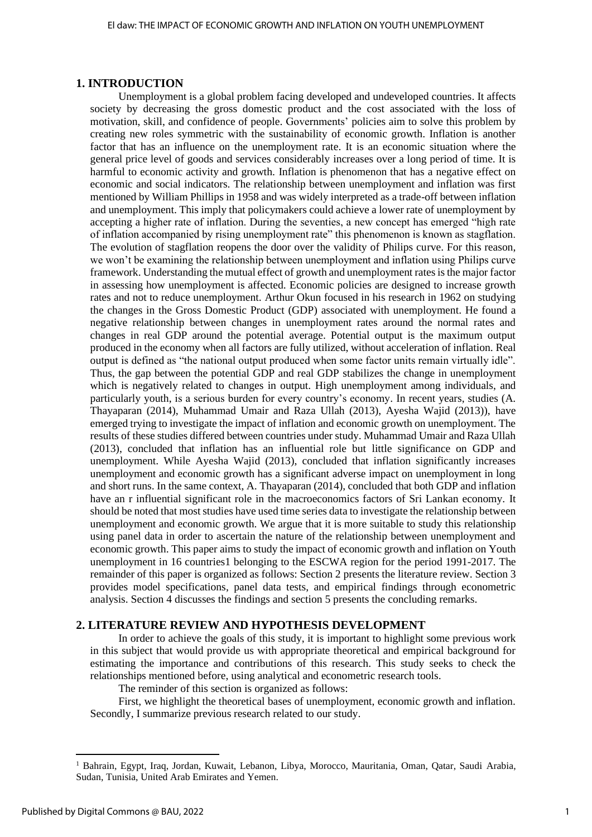## **1. INTRODUCTION**

Unemployment is a global problem facing developed and undeveloped countries. It affects society by decreasing the gross domestic product and the cost associated with the loss of motivation, skill, and confidence of people. Governments' policies aim to solve this problem by creating new roles symmetric with the sustainability of economic growth. Inflation is another factor that has an influence on the unemployment rate. It is an economic situation where the general price level of goods and services considerably increases over a long period of time. It is harmful to economic activity and growth. Inflation is phenomenon that has a negative effect on economic and social indicators. The relationship between unemployment and inflation was first mentioned by William Phillips in 1958 and was widely interpreted as a trade-off between inflation and unemployment. This imply that policymakers could achieve a lower rate of unemployment by accepting a higher rate of inflation. During the seventies, a new concept has emerged "high rate of inflation accompanied by rising unemployment rate" this phenomenon is known as stagflation. The evolution of stagflation reopens the door over the validity of Philips curve. For this reason, we won't be examining the relationship between unemployment and inflation using Philips curve framework. Understanding the mutual effect of growth and unemployment rates is the major factor in assessing how unemployment is affected. Economic policies are designed to increase growth rates and not to reduce unemployment. Arthur Okun focused in his research in 1962 on studying the changes in the Gross Domestic Product (GDP) associated with unemployment. He found a negative relationship between changes in unemployment rates around the normal rates and changes in real GDP around the potential average. Potential output is the maximum output produced in the economy when all factors are fully utilized, without acceleration of inflation. Real output is defined as "the national output produced when some factor units remain virtually idle". Thus, the gap between the potential GDP and real GDP stabilizes the change in unemployment which is negatively related to changes in output. High unemployment among individuals, and particularly youth, is a serious burden for every country's economy. In recent years, studies (A. Thayaparan (2014), Muhammad Umair and Raza Ullah (2013), Ayesha Wajid (2013)), have emerged trying to investigate the impact of inflation and economic growth on unemployment. The results of these studies differed between countries under study. Muhammad Umair and Raza Ullah (2013), concluded that inflation has an influential role but little significance on GDP and unemployment. While Ayesha Wajid (2013), concluded that inflation significantly increases unemployment and economic growth has a significant adverse impact on unemployment in long and short runs. In the same context, A. Thayaparan (2014), concluded that both GDP and inflation have an r influential significant role in the macroeconomics factors of Sri Lankan economy. It should be noted that most studies have used time series data to investigate the relationship between unemployment and economic growth. We argue that it is more suitable to study this relationship using panel data in order to ascertain the nature of the relationship between unemployment and economic growth. This paper aims to study the impact of economic growth and inflation on Youth unemployment in 16 countries1 belonging to the ESCWA region for the period 1991-2017. The remainder of this paper is organized as follows: Section 2 presents the literature review. Section 3 provides model specifications, panel data tests, and empirical findings through econometric analysis. Section 4 discusses the findings and section 5 presents the concluding remarks.

## **2. LITERATURE REVIEW AND HYPOTHESIS DEVELOPMENT**

In order to achieve the goals of this study, it is important to highlight some previous work in this subject that would provide us with appropriate theoretical and empirical background for estimating the importance and contributions of this research. This study seeks to check the relationships mentioned before, using analytical and econometric research tools.

The reminder of this section is organized as follows:

First, we highlight the theoretical bases of unemployment, economic growth and inflation. Secondly, I summarize previous research related to our study.

<sup>1</sup> Bahrain, Egypt, Iraq, Jordan, Kuwait, Lebanon, Libya, Morocco, Mauritania, Oman, Qatar, Saudi Arabia, Sudan, Tunisia, United Arab Emirates and Yemen.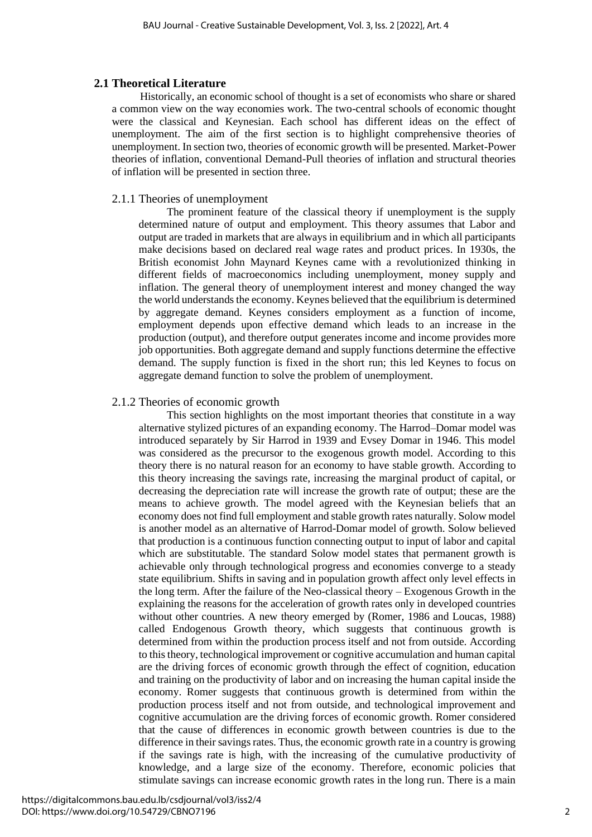## **2.1 Theoretical Literature**

Historically, an economic school of thought is a set of economists who share or shared a common view on the way economies work. The two-central schools of economic thought were the classical and Keynesian. Each school has different ideas on the effect of unemployment. The aim of the first section is to highlight comprehensive theories of unemployment. In section two, theories of economic growth will be presented. Market-Power theories of inflation, conventional Demand-Pull theories of inflation and structural theories of inflation will be presented in section three.

## 2.1.1 Theories of unemployment

The prominent feature of the classical theory if unemployment is the supply determined nature of output and employment. This theory assumes that Labor and output are traded in markets that are always in equilibrium and in which all participants make decisions based on declared real wage rates and product prices. In 1930s, the British economist John Maynard Keynes came with a revolutionized thinking in different fields of macroeconomics including unemployment, money supply and inflation. The general theory of unemployment interest and money changed the way the world understands the economy. Keynes believed that the equilibrium is determined by aggregate demand. Keynes considers employment as a function of income, employment depends upon effective demand which leads to an increase in the production (output), and therefore output generates income and income provides more job opportunities. Both aggregate demand and supply functions determine the effective demand. The supply function is fixed in the short run; this led Keynes to focus on aggregate demand function to solve the problem of unemployment.

## 2.1.2 Theories of economic growth

This section highlights on the most important theories that constitute in a way alternative stylized pictures of an expanding economy. The Harrod–Domar model was introduced separately by Sir Harrod in 1939 and Evsey Domar in 1946. This model was considered as the precursor to the exogenous growth model. According to this theory there is no natural reason for an economy to have stable growth. According to this theory increasing the savings rate, increasing the marginal product of capital, or decreasing the depreciation rate will increase the growth rate of output; these are the means to achieve growth. The model agreed with the Keynesian beliefs that an economy does not find full employment and stable growth rates naturally. Solow model is another model as an alternative of Harrod-Domar model of growth. Solow believed that production is a continuous function connecting output to input of labor and capital which are substitutable. The standard Solow model states that permanent growth is achievable only through technological progress and economies converge to a steady state equilibrium. Shifts in saving and in population growth affect only level effects in the long term. After the failure of the Neo-classical theory – Exogenous Growth in the explaining the reasons for the acceleration of growth rates only in developed countries without other countries. A new theory emerged by (Romer, 1986 and Loucas, 1988) called Endogenous Growth theory, which suggests that continuous growth is determined from within the production process itself and not from outside. According to this theory, technological improvement or cognitive accumulation and human capital are the driving forces of economic growth through the effect of cognition, education and training on the productivity of labor and on increasing the human capital inside the economy. Romer suggests that continuous growth is determined from within the production process itself and not from outside, and technological improvement and cognitive accumulation are the driving forces of economic growth. Romer considered that the cause of differences in economic growth between countries is due to the difference in their savings rates. Thus, the economic growth rate in a country is growing if the savings rate is high, with the increasing of the cumulative productivity of knowledge, and a large size of the economy. Therefore, economic policies that stimulate savings can increase economic growth rates in the long run. There is a main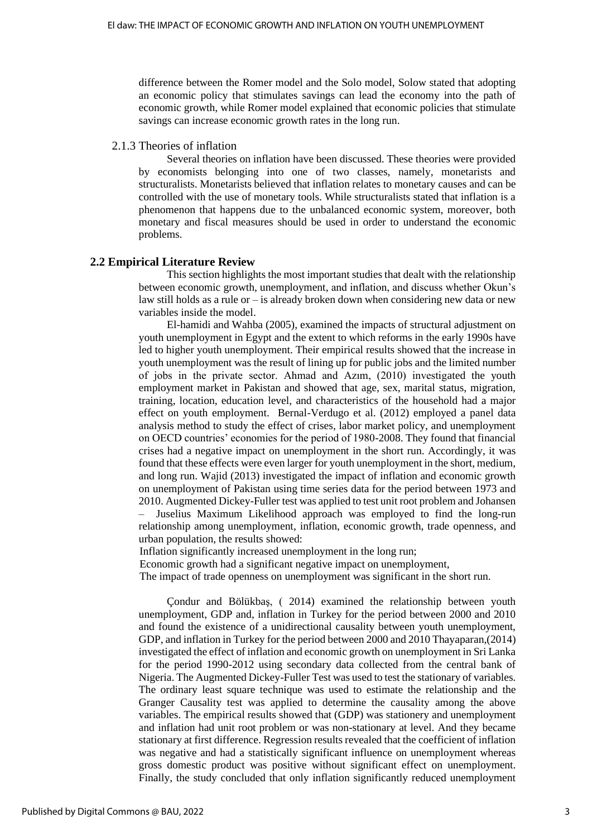difference between the Romer model and the Solo model, Solow stated that adopting an economic policy that stimulates savings can lead the economy into the path of economic growth, while Romer model explained that economic policies that stimulate savings can increase economic growth rates in the long run.

#### 2.1.3 Theories of inflation

Several theories on inflation have been discussed. These theories were provided by economists belonging into one of two classes, namely, monetarists and structuralists. Monetarists believed that inflation relates to monetary causes and can be controlled with the use of monetary tools. While structuralists stated that inflation is a phenomenon that happens due to the unbalanced economic system, moreover, both monetary and fiscal measures should be used in order to understand the economic problems.

#### **2.2 Empirical Literature Review**

This section highlights the most important studies that dealt with the relationship between economic growth, unemployment, and inflation, and discuss whether Okun's law still holds as a rule or  $-\text{i}$  a lready broken down when considering new data or new variables inside the model.

El-hamidi and Wahba (2005), examined the impacts of structural adjustment on youth unemployment in Egypt and the extent to which reforms in the early 1990s have led to higher youth unemployment. Their empirical results showed that the increase in youth unemployment was the result of lining up for public jobs and the limited number of jobs in the private sector. Ahmad and Azım, (2010) investigated the youth employment market in Pakistan and showed that age, sex, marital status, migration, training, location, education level, and characteristics of the household had a major effect on youth employment. Bernal-Verdugo et al. (2012) employed a panel data analysis method to study the effect of crises, labor market policy, and unemployment on OECD countries' economies for the period of 1980-2008. They found that financial crises had a negative impact on unemployment in the short run. Accordingly, it was found that these effects were even larger for youth unemployment in the short, medium, and long run. Wajid (2013) investigated the impact of inflation and economic growth on unemployment of Pakistan using time series data for the period between 1973 and 2010. Augmented Dickey-Fuller test was applied to test unit root problem and Johansen

– Juselius Maximum Likelihood approach was employed to find the long-run relationship among unemployment, inflation, economic growth, trade openness, and urban population, the results showed:

Inflation significantly increased unemployment in the long run;

Economic growth had a significant negative impact on unemployment,

The impact of trade openness on unemployment was significant in the short run.

Çondur and Bölükbaş, ( 2014) examined the relationship between youth unemployment, GDP and, inflation in Turkey for the period between 2000 and 2010 and found the existence of a unidirectional causality between youth unemployment, GDP, and inflation in Turkey for the period between 2000 and 2010 Thayaparan,(2014) investigated the effect of inflation and economic growth on unemployment in Sri Lanka for the period 1990-2012 using secondary data collected from the central bank of Nigeria. The Augmented Dickey-Fuller Test was used to test the stationary of variables. The ordinary least square technique was used to estimate the relationship and the Granger Causality test was applied to determine the causality among the above variables. The empirical results showed that (GDP) was stationery and unemployment and inflation had unit root problem or was non-stationary at level. And they became stationary at first difference. Regression results revealed that the coefficient of inflation was negative and had a statistically significant influence on unemployment whereas gross domestic product was positive without significant effect on unemployment. Finally, the study concluded that only inflation significantly reduced unemployment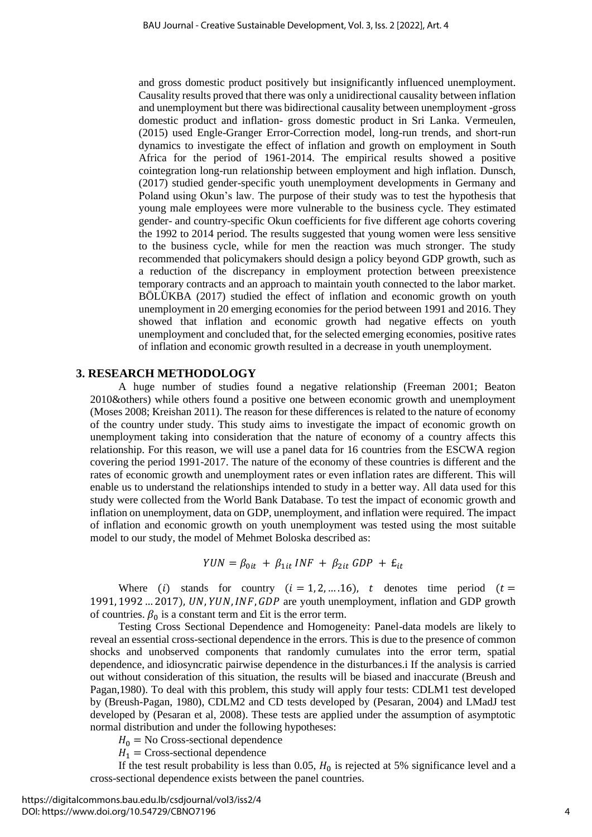and gross domestic product positively but insignificantly influenced unemployment. Causality results proved that there was only a unidirectional causality between inflation and unemployment but there was bidirectional causality between unemployment -gross domestic product and inflation- gross domestic product in Sri Lanka. Vermeulen, (2015) used Engle-Granger Error-Correction model, long-run trends, and short-run dynamics to investigate the effect of inflation and growth on employment in South Africa for the period of 1961-2014. The empirical results showed a positive cointegration long-run relationship between employment and high inflation. Dunsch, (2017) studied gender-specific youth unemployment developments in Germany and Poland using Okun's law. The purpose of their study was to test the hypothesis that young male employees were more vulnerable to the business cycle. They estimated gender- and country-specific Okun coefficients for five different age cohorts covering the 1992 to 2014 period. The results suggested that young women were less sensitive to the business cycle, while for men the reaction was much stronger. The study recommended that policymakers should design a policy beyond GDP growth, such as a reduction of the discrepancy in employment protection between preexistence temporary contracts and an approach to maintain youth connected to the labor market. BÖLÜKBA (2017) studied the effect of inflation and economic growth on youth unemployment in 20 emerging economies for the period between 1991 and 2016. They showed that inflation and economic growth had negative effects on youth unemployment and concluded that, for the selected emerging economies, positive rates of inflation and economic growth resulted in a decrease in youth unemployment.

## **3. RESEARCH METHODOLOGY**

A huge number of studies found a negative relationship (Freeman 2001; Beaton 2010&others) while others found a positive one between economic growth and unemployment (Moses 2008; Kreishan 2011). The reason for these differences is related to the nature of economy of the country under study. This study aims to investigate the impact of economic growth on unemployment taking into consideration that the nature of economy of a country affects this relationship. For this reason, we will use a panel data for 16 countries from the ESCWA region covering the period 1991-2017. The nature of the economy of these countries is different and the rates of economic growth and unemployment rates or even inflation rates are different. This will enable us to understand the relationships intended to study in a better way. All data used for this study were collected from the World Bank Database. To test the impact of economic growth and inflation on unemployment, data on GDP, unemployment, and inflation were required. The impact of inflation and economic growth on youth unemployment was tested using the most suitable model to our study, the model of Mehmet Boloska described as:

$$
YUN = \beta_{0it} + \beta_{1it} INF + \beta_{2it} GDP + E_{it}
$$

Where (i) stands for country  $(i = 1, 2, \ldots, 16)$ , t denotes time period  $(t = 1, 2, \ldots, 16)$ 1991, 1992 ... 2017), UN, YUN, INF, GDP are youth unemployment, inflation and GDP growth of countries.  $\beta_0$  is a constant term and £it is the error term.

Testing Cross Sectional Dependence and Homogeneity: Panel-data models are likely to reveal an essential cross-sectional dependence in the errors. This is due to the presence of common shocks and unobserved components that randomly cumulates into the error term, spatial dependence, and idiosyncratic pairwise dependence in the disturbances.i If the analysis is carried out without consideration of this situation, the results will be biased and inaccurate (Breush and Pagan,1980). To deal with this problem, this study will apply four tests: CDLM1 test developed by (Breush-Pagan, 1980), CDLM2 and CD tests developed by (Pesaran, 2004) and LMadJ test developed by (Pesaran et al, 2008). These tests are applied under the assumption of asymptotic normal distribution and under the following hypotheses:

 $H_0$  = No Cross-sectional dependence

 $H_1$  = Cross-sectional dependence

If the test result probability is less than 0.05,  $H_0$  is rejected at 5% significance level and a cross-sectional dependence exists between the panel countries.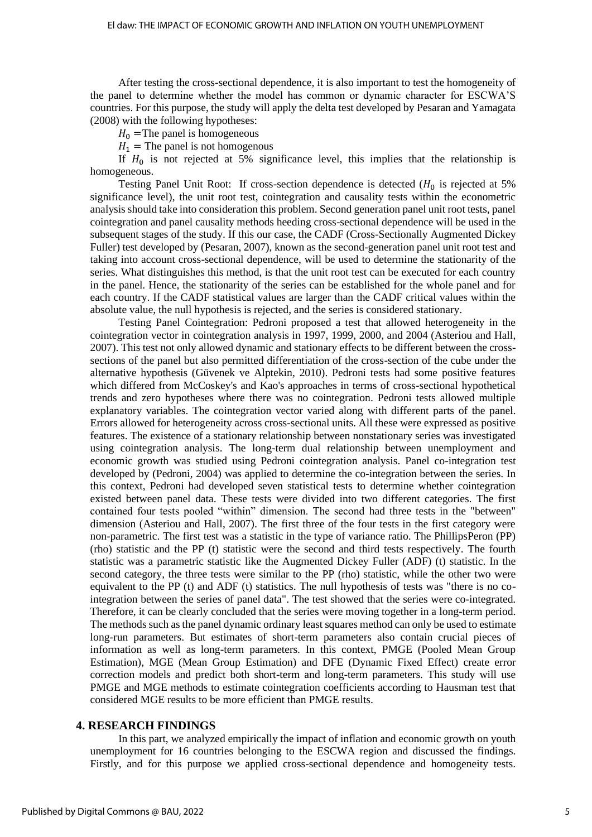After testing the cross-sectional dependence, it is also important to test the homogeneity of the panel to determine whether the model has common or dynamic character for ESCWA'S countries. For this purpose, the study will apply the delta test developed by Pesaran and Yamagata (2008) with the following hypotheses:

 $H_0$  =The panel is homogeneous

 $H_1$  = The panel is not homogenous

If  $H_0$  is not rejected at 5% significance level, this implies that the relationship is homogeneous.

Testing Panel Unit Root: If cross-section dependence is detected  $(H_0$  is rejected at 5% significance level), the unit root test, cointegration and causality tests within the econometric analysis should take into consideration this problem. Second generation panel unit root tests, panel cointegration and panel causality methods heeding cross-sectional dependence will be used in the subsequent stages of the study. If this our case, the CADF (Cross-Sectionally Augmented Dickey Fuller) test developed by (Pesaran, 2007), known as the second-generation panel unit root test and taking into account cross-sectional dependence, will be used to determine the stationarity of the series. What distinguishes this method, is that the unit root test can be executed for each country in the panel. Hence, the stationarity of the series can be established for the whole panel and for each country. If the CADF statistical values are larger than the CADF critical values within the absolute value, the null hypothesis is rejected, and the series is considered stationary.

Testing Panel Cointegration: Pedroni proposed a test that allowed heterogeneity in the cointegration vector in cointegration analysis in 1997, 1999, 2000, and 2004 (Asteriou and Hall, 2007). This test not only allowed dynamic and stationary effects to be different between the crosssections of the panel but also permitted differentiation of the cross-section of the cube under the alternative hypothesis (Güvenek ve Alptekin, 2010). Pedroni tests had some positive features which differed from McCoskey's and Kao's approaches in terms of cross-sectional hypothetical trends and zero hypotheses where there was no cointegration. Pedroni tests allowed multiple explanatory variables. The cointegration vector varied along with different parts of the panel. Errors allowed for heterogeneity across cross-sectional units. All these were expressed as positive features. The existence of a stationary relationship between nonstationary series was investigated using cointegration analysis. The long-term dual relationship between unemployment and economic growth was studied using Pedroni cointegration analysis. Panel co-integration test developed by (Pedroni, 2004) was applied to determine the co-integration between the series. In this context, Pedroni had developed seven statistical tests to determine whether cointegration existed between panel data. These tests were divided into two different categories. The first contained four tests pooled "within" dimension. The second had three tests in the "between" dimension (Asteriou and Hall, 2007). The first three of the four tests in the first category were non-parametric. The first test was a statistic in the type of variance ratio. The PhillipsPeron (PP) (rho) statistic and the PP (t) statistic were the second and third tests respectively. The fourth statistic was a parametric statistic like the Augmented Dickey Fuller (ADF) (t) statistic. In the second category, the three tests were similar to the PP (rho) statistic, while the other two were equivalent to the PP (t) and ADF (t) statistics. The null hypothesis of tests was "there is no cointegration between the series of panel data". The test showed that the series were co-integrated. Therefore, it can be clearly concluded that the series were moving together in a long-term period. The methods such as the panel dynamic ordinary least squares method can only be used to estimate long-run parameters. But estimates of short-term parameters also contain crucial pieces of information as well as long-term parameters. In this context, PMGE (Pooled Mean Group Estimation), MGE (Mean Group Estimation) and DFE (Dynamic Fixed Effect) create error correction models and predict both short-term and long-term parameters. This study will use PMGE and MGE methods to estimate cointegration coefficients according to Hausman test that considered MGE results to be more efficient than PMGE results.

## **4. RESEARCH FINDINGS**

In this part, we analyzed empirically the impact of inflation and economic growth on youth unemployment for 16 countries belonging to the ESCWA region and discussed the findings. Firstly, and for this purpose we applied cross-sectional dependence and homogeneity tests.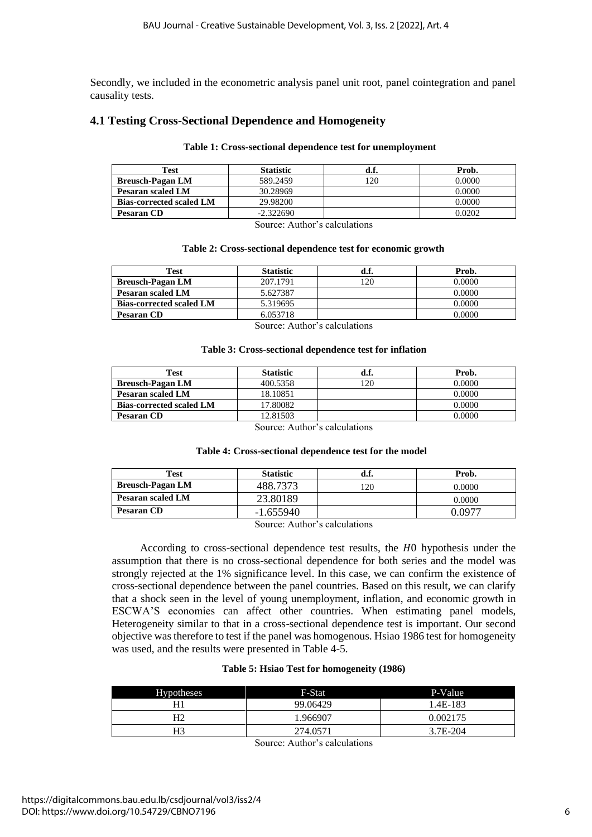Secondly, we included in the econometric analysis panel unit root, panel cointegration and panel causality tests.

## **4.1 Testing Cross-Sectional Dependence and Homogeneity**

#### **Table 1: Cross-sectional dependence test for unemployment**

| Test                            | <b>Statistic</b> | а.г. | Prob.  |
|---------------------------------|------------------|------|--------|
| <b>Breusch-Pagan LM</b>         | 589.2459         | 20   | 0.0000 |
| Pesaran scaled LM               | 30.28969         |      | 0.0000 |
| <b>Bias-corrected scaled LM</b> | 29.98200         |      | 0.0000 |
| Pesaran CD                      | $-2.322690$      |      | 0.0202 |

Source: Author's calculations

#### **Table 2: Cross-sectional dependence test for economic growth**

| Test                            | <b>Statistic</b> | a.ı. | Prob.  |
|---------------------------------|------------------|------|--------|
| <b>Breusch-Pagan LM</b>         | 207.1791         | 20   | 0.0000 |
| Pesaran scaled LM               | 5.627387         |      | 0.0000 |
| <b>Bias-corrected scaled LM</b> | 5.319695         |      | 0.0000 |
| <b>Pesaran CD</b>               | 6.053718         |      | 0.0000 |

Source: Author's calculations

#### **Table 3: Cross-sectional dependence test for inflation**

| Test                            | <b>Statistic</b> | u.ı. | Prob.  |
|---------------------------------|------------------|------|--------|
| <b>Breusch-Pagan LM</b>         | 400.5358         | 20   | 0.0000 |
| Pesaran scaled LM               | 18.10851         |      | 0.0000 |
| <b>Bias-corrected scaled LM</b> | 17.80082         |      | 0.0000 |
| <b>Pesaran CD</b>               | 12.81503         |      | 0.0000 |

Source: Author's calculations

#### **Table 4: Cross-sectional dependence test for the model**

| Test                     | <b>Statistic</b>                  | a.ı. | Prob.  |
|--------------------------|-----------------------------------|------|--------|
| <b>Breusch-Pagan LM</b>  | 488.7373                          | l 20 | 0.0000 |
| <b>Pesaran scaled LM</b> | 23.80189                          |      | 0.0000 |
| <b>Pesaran CD</b>        | $-1.655940$                       |      | 0.0977 |
|                          | $\cdot$ $\cdot$ $\cdot$<br>$\sim$ |      |        |

Source: Author's calculations

According to cross-sectional dependence test results, the  $H_0$  hypothesis under the assumption that there is no cross-sectional dependence for both series and the model was strongly rejected at the 1% significance level. In this case, we can confirm the existence of cross-sectional dependence between the panel countries. Based on this result, we can clarify that a shock seen in the level of young unemployment, inflation, and economic growth in ESCWA'S economies can affect other countries. When estimating panel models, Heterogeneity similar to that in a cross-sectional dependence test is important. Our second objective was therefore to test if the panel was homogenous. Hsiao 1986 test for homogeneity was used, and the results were presented in Table 4-5.

#### **Table 5: Hsiao Test for homogeneity (1986)**

| <b>Hypotheses</b> | F-Stat   | P-Value  |
|-------------------|----------|----------|
| H1                | 99.06429 | 1.4E-183 |
| Н2                | 1.966907 | 0.002175 |
| H3                | 274.057  | 3.7E-204 |

Source: Author's calculations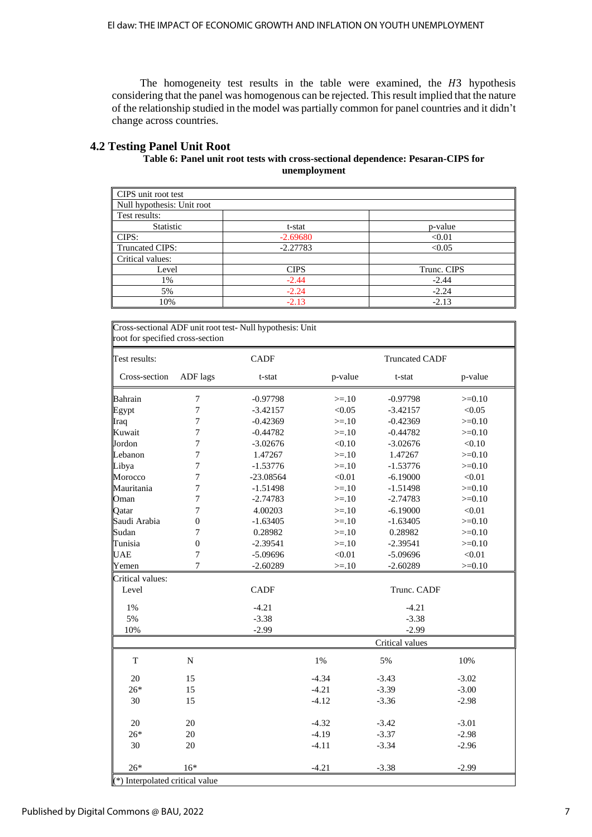The homogeneity test results in the table were examined, the  $H3$  hypothesis considering that the panel was homogenous can be rejected. This result implied that the nature of the relationship studied in the model was partially common for panel countries and it didn't change across countries.

## **4.2 Testing Panel Unit Root**

## **Table 6: Panel unit root tests with cross-sectional dependence: Pesaran-CIPS for unemployment**

| CIPS unit root test        |             |             |
|----------------------------|-------------|-------------|
| Null hypothesis: Unit root |             |             |
| Test results:              |             |             |
| <b>Statistic</b>           | t-stat      | p-value     |
| CIPS:                      | $-2.69680$  | < 0.01      |
| Truncated CIPS:            | $-2.27783$  | < 0.05      |
| Critical values:           |             |             |
| Level                      | <b>CIPS</b> | Trunc. CIPS |
| 1%                         | $-2.44$     | $-2.44$     |
| 5%                         | $-2.24$     | $-2.24$     |
| 10%                        | $-2.13$     | $-2.13$     |

| Test results:    |                  | <b>CADF</b> |         |         | <b>Truncated CADF</b> |          |
|------------------|------------------|-------------|---------|---------|-----------------------|----------|
| Cross-section    | ADF lags         | t-stat      |         | p-value | t-stat                | p-value  |
| Bahrain          | $\boldsymbol{7}$ | $-0.97798$  |         | $>=10$  | $-0.97798$            | $>=0.10$ |
| Egypt            | $\tau$           | $-3.42157$  |         | < 0.05  | $-3.42157$            | < 0.05   |
| Iraq             | 7                | $-0.42369$  |         | $>=10$  | $-0.42369$            | $>=0.10$ |
| Kuwait           | $\boldsymbol{7}$ | $-0.44782$  |         | $>=10$  | $-0.44782$            | $>=0.10$ |
| Jordon           | $\tau$           | $-3.02676$  |         | < 0.10  | $-3.02676$            | < 0.10   |
| Lebanon          | $\tau$           | 1.47267     |         | $>=10$  | 1.47267               | $>=0.10$ |
| Libya            | $\tau$           | $-1.53776$  |         | $>=10$  | $-1.53776$            | $>=0.10$ |
| Morocco          | 7                | $-23.08564$ |         | < 0.01  | $-6.19000$            | < 0.01   |
| Mauritania       | $\boldsymbol{7}$ | $-1.51498$  |         | $>=10$  | $-1.51498$            | $>=0.10$ |
| Oman             | $\boldsymbol{7}$ | $-2.74783$  |         | $>=10$  | $-2.74783$            | $>=0.10$ |
| Qatar            | 7                | 4.00203     |         | $>=10$  | $-6.19000$            | < 0.01   |
| Saudi Arabia     | $\boldsymbol{0}$ | $-1.63405$  |         | $>=10$  | $-1.63405$            | $>=0.10$ |
| Sudan            | $\overline{7}$   | 0.28982     |         | $>=10$  | 0.28982               | $>=0.10$ |
| Tunisia          | $\boldsymbol{0}$ | $-2.39541$  |         | $>=10$  | $-2.39541$            | $>=0.10$ |
| <b>UAE</b>       | $\tau$           | $-5.09696$  |         | < 0.01  | $-5.09696$            | < 0.01   |
| Yemen            | $\overline{7}$   | $-2.60289$  |         | $>=10$  | $-2.60289$            | $>=0.10$ |
| Critical values: |                  |             |         |         |                       |          |
| Level            |                  | <b>CADF</b> |         |         | Trunc. CADF           |          |
| 1%               |                  | $-4.21$     |         |         | $-4.21$               |          |
| 5%               |                  | $-3.38$     |         |         | $-3.38$               |          |
| 10%              |                  | $-2.99$     |         |         | $-2.99$               |          |
|                  |                  |             |         |         | Critical values       |          |
| T                | ${\bf N}$        |             | 1%      |         | 5%                    | 10%      |
| 20               | 15               |             | $-4.34$ |         | $-3.43$               | $-3.02$  |
| $26*$            | 15               |             | $-4.21$ |         | $-3.39$               | $-3.00$  |
| 30               | 15               |             | $-4.12$ |         | $-3.36$               | $-2.98$  |
| 20               | 20               |             | $-4.32$ |         | $-3.42$               | $-3.01$  |
| $26*$            | 20               |             | $-4.19$ |         | $-3.37$               | $-2.98$  |
| 30               | 20               |             | $-4.11$ |         | $-3.34$               | $-2.96$  |
| $26*$            | $16*$            |             | $-4.21$ |         | $-3.38$               | $-2.99$  |

(\*) Interpolated critical value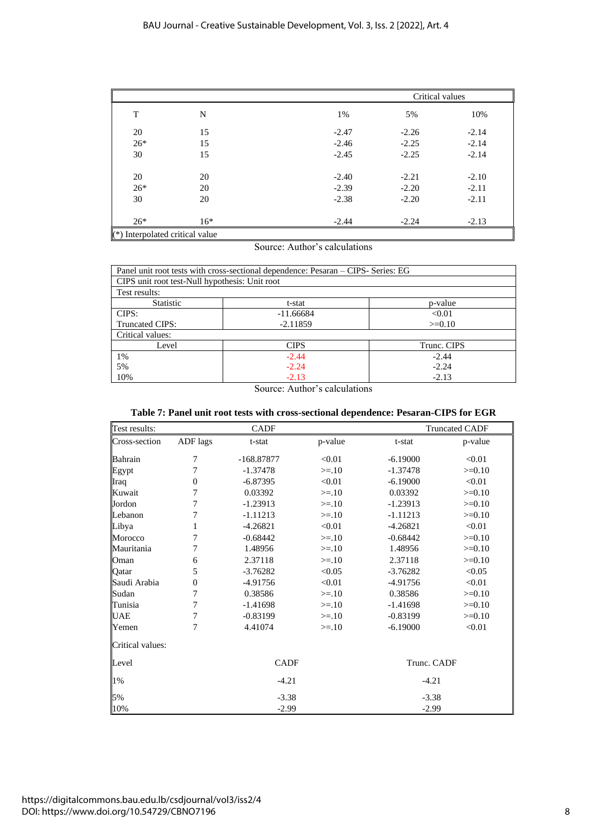|       |       |         | Critical values |         |
|-------|-------|---------|-----------------|---------|
| T     | N     | 1%      | 5%              | 10%     |
| 20    | 15    | $-2.47$ | $-2.26$         | $-2.14$ |
| $26*$ | 15    | $-2.46$ | $-2.25$         | $-2.14$ |
| 30    | 15    | $-2.45$ | $-2.25$         | $-2.14$ |
| 20    | 20    | $-2.40$ | $-2.21$         | $-2.10$ |
| $26*$ | 20    | $-2.39$ | $-2.20$         | $-2.11$ |
| 30    | 20    | $-2.38$ | $-2.20$         | $-2.11$ |
| $26*$ | $16*$ | $-2.44$ | $-2.24$         | $-2.13$ |

| Panel unit root tests with cross-sectional dependence: Pesaran – CIPS- Series: EG |             |             |  |  |  |  |  |
|-----------------------------------------------------------------------------------|-------------|-------------|--|--|--|--|--|
| CIPS unit root test-Null hypothesis: Unit root                                    |             |             |  |  |  |  |  |
| Test results:                                                                     |             |             |  |  |  |  |  |
| <b>Statistic</b>                                                                  | t-stat      | p-value     |  |  |  |  |  |
| CIPS:                                                                             | $-11.66684$ | < 0.01      |  |  |  |  |  |
| Truncated CIPS:                                                                   | $-2.11859$  | $>=0.10$    |  |  |  |  |  |
| Critical values:                                                                  |             |             |  |  |  |  |  |
| Level                                                                             | <b>CIPS</b> | Trunc. CIPS |  |  |  |  |  |
| 1%                                                                                | $-2.44$     | $-2.44$     |  |  |  |  |  |
| 5%                                                                                | $-2.24$     | $-2.24$     |  |  |  |  |  |
| 10%                                                                               | $-2.13$     | $-2.13$     |  |  |  |  |  |

Source: Author's calculations

| Table 7: Panel unit root tests with cross-sectional dependence: Pesaran-CIPS for EGR |
|--------------------------------------------------------------------------------------|
|--------------------------------------------------------------------------------------|

| Test results:    |                | <b>CADF</b> |         | <b>Truncated CADF</b> |          |
|------------------|----------------|-------------|---------|-----------------------|----------|
| Cross-section    | ADF lags       | t-stat      | p-value | t-stat                | p-value  |
| Bahrain          | 7              | -168.87877  | < 0.01  | $-6.19000$            | < 0.01   |
| Egypt            | 7              | $-1.37478$  | $>=10$  | $-1.37478$            | $>=0.10$ |
| Iraq             | $\overline{0}$ | $-6.87395$  | < 0.01  | $-6.19000$            | < 0.01   |
| Kuwait           | 7              | 0.03392     | $>=10$  | 0.03392               | $>=0.10$ |
| Jordon           | 7              | $-1.23913$  | $>=10$  | $-1.23913$            | $>=0.10$ |
| Lebanon          | 7              | $-1.11213$  | $>=10$  | $-1.11213$            | $>=0.10$ |
| Libya            | 1              | $-4.26821$  | < 0.01  | $-4.26821$            | < 0.01   |
| Morocco          | 7              | $-0.68442$  | $>=10$  | $-0.68442$            | $>=0.10$ |
| Mauritania       | 7              | 1.48956     | $>=10$  | 1.48956               | $>=0.10$ |
| Oman             | 6              | 2.37118     | $>=10$  | 2.37118               | $>=0.10$ |
| Qatar            | 5              | $-3.76282$  | < 0.05  | $-3.76282$            | < 0.05   |
| Saudi Arabia     | $\overline{0}$ | $-4.91756$  | < 0.01  | $-4.91756$            | < 0.01   |
| Sudan            | 7              | 0.38586     | $>=10$  | 0.38586               | $>=0.10$ |
| Tunisia          | 7              | $-1.41698$  | $>=10$  | $-1.41698$            | $>=0.10$ |
| <b>UAE</b>       | 7              | $-0.83199$  | $>=10$  | $-0.83199$            | $>=0.10$ |
| Yemen            | 7              | 4.41074     | $>=10$  | $-6.19000$            | < 0.01   |
| Critical values: |                |             |         |                       |          |
| Level            |                | <b>CADF</b> |         | Trunc. CADF           |          |
| 1%               |                | $-4.21$     |         | $-4.21$               |          |
| 5%               |                | $-3.38$     |         | $-3.38$               |          |
| 10%              |                | $-2.99$     |         | $-2.99$               |          |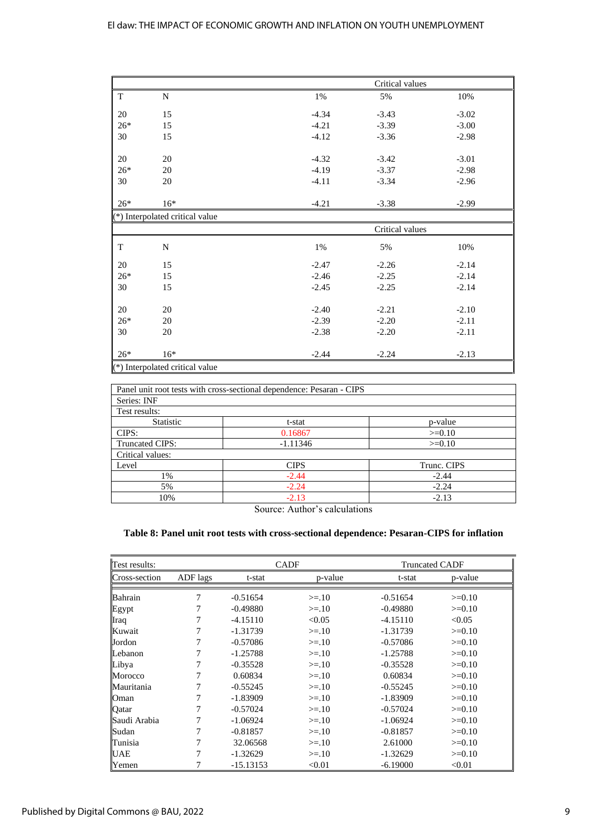|             |                                 |         | Critical values |         |
|-------------|---------------------------------|---------|-----------------|---------|
| $\mathbf T$ | N                               | $1\%$   | 5%              | 10%     |
| 20          | 15                              | $-4.34$ | $-3.43$         | $-3.02$ |
| $26*$       | 15                              | $-4.21$ | $-3.39$         | $-3.00$ |
| 30          | 15                              | $-4.12$ | $-3.36$         | $-2.98$ |
| 20          | 20                              | $-4.32$ | $-3.42$         | $-3.01$ |
| $26*$       | 20                              | $-4.19$ | $-3.37$         | $-2.98$ |
| 30          | 20                              | $-4.11$ | $-3.34$         | $-2.96$ |
| $26*$       | $16*$                           | $-4.21$ | $-3.38$         | $-2.99$ |
|             | (*) Interpolated critical value |         |                 |         |
|             |                                 |         | Critical values |         |
| T           | N                               | 1%      | 5%              | 10%     |
| 20          | 15                              | $-2.47$ | $-2.26$         | $-2.14$ |
| $26*$       | 15                              | $-2.46$ | $-2.25$         | $-2.14$ |
| 30          | 15                              | $-2.45$ | $-2.25$         | $-2.14$ |
| 20          | 20                              | $-2.40$ | $-2.21$         | $-2.10$ |
| $26*$       | 20                              | $-2.39$ | $-2.20$         | $-2.11$ |
| 30          | 20                              | $-2.38$ | $-2.20$         | $-2.11$ |
| $26*$       | $16*$                           | $-2.44$ | $-2.24$         | $-2.13$ |
|             |                                 |         |                 |         |

|                  | Panel unit root tests with cross-sectional dependence: Pesaran - CIPS |             |
|------------------|-----------------------------------------------------------------------|-------------|
| Series: INF      |                                                                       |             |
| Test results:    |                                                                       |             |
| <b>Statistic</b> | t-stat                                                                | p-value     |
| CIPS:            | 0.16867                                                               | $>=0.10$    |
| Truncated CIPS:  | $-1.11346$                                                            | $>=0.10$    |
| Critical values: |                                                                       |             |
| Level            | <b>CIPS</b>                                                           | Trunc. CIPS |
| 1%               | $-2.44$                                                               | $-2.44$     |
| 5%               | $-2.24$                                                               | $-2.24$     |
| 10%              | $-2.13$                                                               | $-2.13$     |

## **Table 8: Panel unit root tests with cross-sectional dependence: Pesaran-CIPS for inflation**

| Test results: |          | <b>CADF</b> |         | <b>Truncated CADF</b> |          |  |
|---------------|----------|-------------|---------|-----------------------|----------|--|
| Cross-section | ADF lags | t-stat      | p-value | t-stat                | p-value  |  |
| Bahrain       | 7        | $-0.51654$  | $>=10$  | $-0.51654$            | $>=0.10$ |  |
| Egypt         | 7        | $-0.49880$  | $>=10$  | $-0.49880$            | $>=0.10$ |  |
| Iraq          |          | $-4.15110$  | < 0.05  | $-4.15110$            | < 0.05   |  |
| Kuwait        | 7        | $-1.31739$  | $>=10$  | -1.31739              | $>=0.10$ |  |
| Jordon        | 7        | $-0.57086$  | $>=10$  | $-0.57086$            | $>=0.10$ |  |
| Lebanon       | 7        | $-1.25788$  | $>=10$  | $-1.25788$            | $>=0.10$ |  |
| Libya         |          | $-0.35528$  | $>=10$  | $-0.35528$            | $>=0.10$ |  |
| Morocco       | 7        | 0.60834     | $>=10$  | 0.60834               | $>=0.10$ |  |
| Mauritania    | 7        | $-0.55245$  | $>=10$  | $-0.55245$            | $>=0.10$ |  |
| Oman          | 7        | $-1.83909$  | $>=10$  | $-1.83909$            | $>=0.10$ |  |
| Qatar         | 7        | $-0.57024$  | $>=10$  | $-0.57024$            | $>=0.10$ |  |
| Saudi Arabia  | 7        | $-1.06924$  | $>=10$  | $-1.06924$            | $>=0.10$ |  |
| Sudan         | 7        | $-0.81857$  | $>=10$  | $-0.81857$            | $>=0.10$ |  |
| Tunisia       | 7        | 32.06568    | $>=10$  | 2.61000               | $>=0.10$ |  |
| <b>UAE</b>    | 7        | $-1.32629$  | $>=10$  | $-1.32629$            | $>=0.10$ |  |
| Yemen         | 7        | $-15.13153$ | < 0.01  | $-6.19000$            | < 0.01   |  |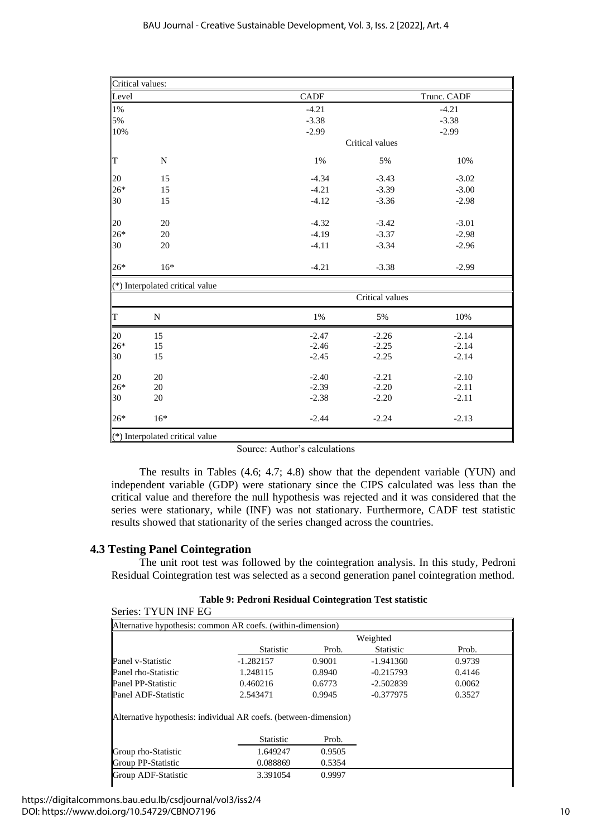|                   | Critical values:                |             |                 |             |
|-------------------|---------------------------------|-------------|-----------------|-------------|
| Level             |                                 | <b>CADF</b> |                 | Trunc. CADF |
| $1\%$             |                                 | $-4.21$     |                 | $-4.21$     |
| 5%                |                                 | $-3.38$     |                 | $-3.38$     |
| 10%               |                                 | $-2.99$     |                 | $-2.99$     |
|                   |                                 |             | Critical values |             |
| $T_{20}$<br>$26*$ | N                               | 1%          | 5%              | 10%         |
|                   | 15                              | $-4.34$     | $-3.43$         | $-3.02$     |
|                   | 15                              | $-4.21$     | $-3.39$         | $-3.00$     |
| 30                | 15                              | $-4.12$     | $-3.36$         | $-2.98$     |
|                   | 20                              | $-4.32$     | $-3.42$         | $-3.01$     |
| $\frac{20}{26*}$  | 20                              | $-4.19$     | $-3.37$         | $-2.98$     |
| 30                | 20                              | $-4.11$     | $-3.34$         | $-2.96$     |
| $26*$             | $16*$                           | $-4.21$     | $-3.38$         | $-2.99$     |
|                   | (*) Interpolated critical value |             |                 |             |
|                   |                                 |             | Critical values |             |
| ļТ                | N                               | $1\%$       | 5%              | 10%         |
| $\frac{20}{26*}$  | 15                              | $-2.47$     | $-2.26$         | $-2.14$     |
|                   | 15                              | $-2.46$     | $-2.25$         | $-2.14$     |
| 30                | 15                              | $-2.45$     | $-2.25$         | $-2.14$     |
| 20                | 20                              | $-2.40$     | $-2.21$         | $-2.10$     |
| $26*$             | 20                              | $-2.39$     | $-2.20$         | $-2.11$     |
| 30                | 20                              | $-2.38$     | $-2.20$         | $-2.11$     |
| $26*$             | $16*$                           | $-2.44$     | $-2.24$         | $-2.13$     |
|                   | (*) Interpolated critical value |             |                 |             |

The results in Tables (4.6; 4.7; 4.8) show that the dependent variable (YUN) and independent variable (GDP) were stationary since the CIPS calculated was less than the critical value and therefore the null hypothesis was rejected and it was considered that the series were stationary, while (INF) was not stationary. Furthermore, CADF test statistic results showed that stationarity of the series changed across the countries.

## **4.3 Testing Panel Cointegration**

The unit root test was followed by the cointegration analysis. In this study, Pedroni Residual Cointegration test was selected as a second generation panel cointegration method.

|                                                | Table 9: Pedroni Residual Cointegration Test statistic |  |
|------------------------------------------------|--------------------------------------------------------|--|
| $\alpha_{\text{out}}$ . TVI IN INIE E $\alpha$ |                                                        |  |

| Alternative hypothesis: common AR coefs. (within-dimension) |          |                                                                  |        |  |
|-------------------------------------------------------------|----------|------------------------------------------------------------------|--------|--|
|                                                             | Weighted |                                                                  |        |  |
| <b>Statistic</b>                                            | Prob.    | <b>Statistic</b>                                                 | Prob.  |  |
| $-1.282157$                                                 | 0.9001   | $-1.941360$                                                      | 0.9739 |  |
| 1.248115                                                    | 0.8940   | $-0.215793$                                                      | 0.4146 |  |
| 0.460216                                                    | 0.6773   | $-2.502839$                                                      | 0.0062 |  |
| 2.543471                                                    | 0.9945   | $-0.377975$                                                      | 0.3527 |  |
|                                                             |          |                                                                  |        |  |
| <b>Statistic</b>                                            | Prob.    |                                                                  |        |  |
| 1.649247                                                    | 0.9505   |                                                                  |        |  |
| 0.088869                                                    | 0.5354   |                                                                  |        |  |
| 3.391054                                                    | 0.9997   |                                                                  |        |  |
|                                                             |          | Alternative hypothesis: individual AR coefs. (between-dimension) |        |  |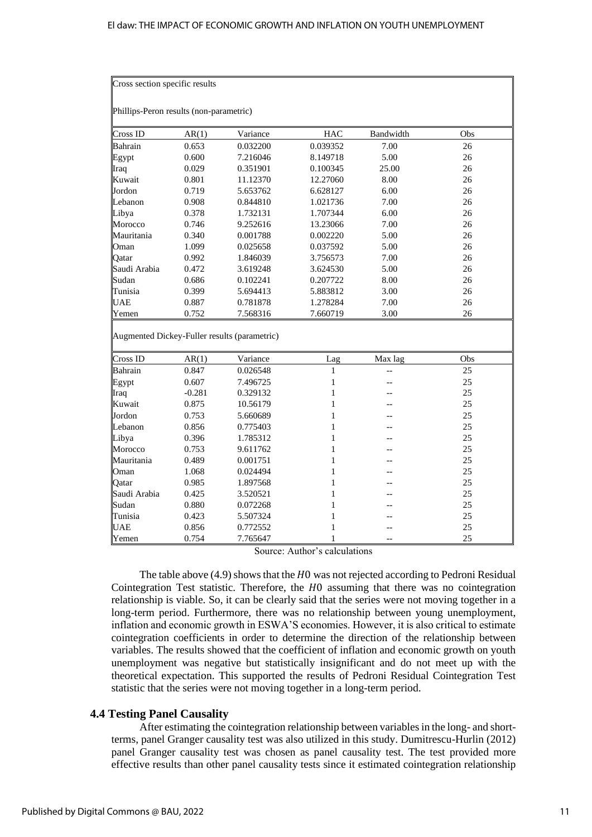| Cross section specific results               |          |          |              |           |     |  |  |
|----------------------------------------------|----------|----------|--------------|-----------|-----|--|--|
|                                              |          |          |              |           |     |  |  |
| Phillips-Peron results (non-parametric)      |          |          |              |           |     |  |  |
| Cross ID                                     | AR(1)    | Variance | HAC          | Bandwidth | Obs |  |  |
| Bahrain                                      | 0.653    | 0.032200 | 0.039352     | 7.00      | 26  |  |  |
| Egypt                                        | 0.600    | 7.216046 | 8.149718     | 5.00      | 26  |  |  |
| Iraq                                         | 0.029    | 0.351901 | 0.100345     | 25.00     | 26  |  |  |
| Kuwait                                       | 0.801    | 11.12370 | 12.27060     | 8.00      | 26  |  |  |
| Jordon                                       | 0.719    | 5.653762 | 6.628127     | 6.00      | 26  |  |  |
| Lebanon                                      | 0.908    | 0.844810 | 1.021736     | 7.00      | 26  |  |  |
| Libya                                        | 0.378    | 1.732131 | 1.707344     | 6.00      | 26  |  |  |
| Morocco                                      | 0.746    | 9.252616 | 13.23066     | 7.00      | 26  |  |  |
| Mauritania                                   | 0.340    | 0.001788 | 0.002220     | 5.00      | 26  |  |  |
| Oman                                         | 1.099    | 0.025658 | 0.037592     | 5.00      | 26  |  |  |
| Qatar                                        | 0.992    | 1.846039 | 3.756573     | 7.00      | 26  |  |  |
| Saudi Arabia                                 | 0.472    | 3.619248 | 3.624530     | 5.00      | 26  |  |  |
| Sudan                                        | 0.686    | 0.102241 | 0.207722     | 8.00      | 26  |  |  |
| Tunisia                                      | 0.399    | 5.694413 | 5.883812     | 3.00      | 26  |  |  |
| <b>UAE</b>                                   | 0.887    | 0.781878 | 1.278284     | 7.00      | 26  |  |  |
| Yemen                                        | 0.752    | 7.568316 | 7.660719     | 3.00      | 26  |  |  |
|                                              |          |          |              |           |     |  |  |
| Augmented Dickey-Fuller results (parametric) |          |          |              |           |     |  |  |
| Cross <sub>ID</sub>                          | AR(1)    | Variance | Lag          | Max lag   | Obs |  |  |
| Bahrain                                      | 0.847    | 0.026548 | 1            |           | 25  |  |  |
| Egypt                                        | 0.607    | 7.496725 | 1            |           | 25  |  |  |
| Iraq                                         | $-0.281$ | 0.329132 | $\mathbf{1}$ |           | 25  |  |  |
| Kuwait                                       | 0.875    | 10.56179 | 1            |           | 25  |  |  |
| Jordon                                       | 0.753    | 5.660689 | 1            |           | 25  |  |  |
| Lebanon                                      | 0.856    | 0.775403 | 1            |           | 25  |  |  |
| Libya                                        | 0.396    | 1.785312 | 1            |           | 25  |  |  |
| Morocco                                      | 0.753    | 9.611762 | 1            |           | 25  |  |  |
| Mauritania                                   | 0.489    | 0.001751 | $\mathbf{1}$ |           | 25  |  |  |
| Oman                                         | 1.068    | 0.024494 | 1            |           | 25  |  |  |
| Qatar                                        | 0.985    | 1.897568 | $\mathbf{1}$ |           | 25  |  |  |
| Saudi Arabia                                 | 0.425    | 3.520521 | $\mathbf{1}$ |           | 25  |  |  |
| Sudan                                        | 0.880    | 0.072268 | $\mathbf{1}$ |           | 25  |  |  |
| Tunisia                                      | 0.423    | 5.507324 | 1            |           | 25  |  |  |
| <b>UAE</b>                                   | 0.856    | 0.772552 | 1            |           | 25  |  |  |
| Yemen                                        | 0.754    | 7.765647 | 1            | $-$       | 25  |  |  |

The table above  $(4.9)$  shows that the  $H_0$  was not rejected according to Pedroni Residual Cointegration Test statistic. Therefore, the  $H0$  assuming that there was no cointegration relationship is viable. So, it can be clearly said that the series were not moving together in a long-term period. Furthermore, there was no relationship between young unemployment, inflation and economic growth in ESWA'S economies. However, it is also critical to estimate cointegration coefficients in order to determine the direction of the relationship between variables. The results showed that the coefficient of inflation and economic growth on youth unemployment was negative but statistically insignificant and do not meet up with the theoretical expectation. This supported the results of Pedroni Residual Cointegration Test statistic that the series were not moving together in a long-term period.

## **4.4 Testing Panel Causality**

After estimating the cointegration relationship between variables in the long- and shortterms, panel Granger causality test was also utilized in this study. Dumitrescu-Hurlin (2012) panel Granger causality test was chosen as panel causality test. The test provided more effective results than other panel causality tests since it estimated cointegration relationship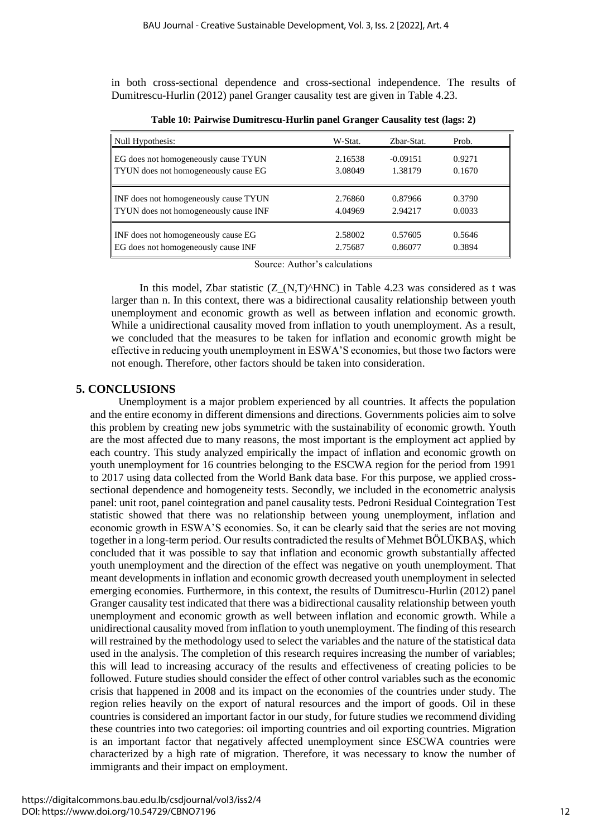in both cross-sectional dependence and cross-sectional independence. The results of Dumitrescu-Hurlin (2012) panel Granger causality test are given in Table 4.23.

| Null Hypothesis:                      | W-Stat. | Zbar-Stat. | Prob.  |
|---------------------------------------|---------|------------|--------|
| EG does not homogeneously cause TYUN  | 2.16538 | $-0.09151$ | 0.9271 |
| TYUN does not homogeneously cause EG  | 3.08049 | 1.38179    | 0.1670 |
| INF does not homogeneously cause TYUN | 2.76860 | 0.87966    | 0.3790 |
| TYUN does not homogeneously cause INF | 4.04969 | 2.94217    | 0.0033 |
| INF does not homogeneously cause EG   | 2.58002 | 0.57605    | 0.5646 |
| EG does not homogeneously cause INF   | 2.75687 | 0.86077    | 0.3894 |

**Table 10: Pairwise Dumitrescu-Hurlin panel Granger Causality test (lags: 2)**

Source: Author's calculations

In this model, Zbar statistic  $(Z_{N,T})^{\text{A}}$ HNC) in Table 4.23 was considered as t was larger than n. In this context, there was a bidirectional causality relationship between youth unemployment and economic growth as well as between inflation and economic growth. While a unidirectional causality moved from inflation to youth unemployment. As a result, we concluded that the measures to be taken for inflation and economic growth might be effective in reducing youth unemployment in ESWA'S economies, but those two factors were not enough. Therefore, other factors should be taken into consideration.

## **5. CONCLUSIONS**

Unemployment is a major problem experienced by all countries. It affects the population and the entire economy in different dimensions and directions. Governments policies aim to solve this problem by creating new jobs symmetric with the sustainability of economic growth. Youth are the most affected due to many reasons, the most important is the employment act applied by each country. This study analyzed empirically the impact of inflation and economic growth on youth unemployment for 16 countries belonging to the ESCWA region for the period from 1991 to 2017 using data collected from the World Bank data base. For this purpose, we applied crosssectional dependence and homogeneity tests. Secondly, we included in the econometric analysis panel: unit root, panel cointegration and panel causality tests. Pedroni Residual Cointegration Test statistic showed that there was no relationship between young unemployment, inflation and economic growth in ESWA'S economies. So, it can be clearly said that the series are not moving together in a long-term period. Our results contradicted the results of Mehmet BÖLÜKBAŞ, which concluded that it was possible to say that inflation and economic growth substantially affected youth unemployment and the direction of the effect was negative on youth unemployment. That meant developments in inflation and economic growth decreased youth unemployment in selected emerging economies. Furthermore, in this context, the results of Dumitrescu-Hurlin (2012) panel Granger causality test indicated that there was a bidirectional causality relationship between youth unemployment and economic growth as well between inflation and economic growth. While a unidirectional causality moved from inflation to youth unemployment. The finding of this research will restrained by the methodology used to select the variables and the nature of the statistical data used in the analysis. The completion of this research requires increasing the number of variables; this will lead to increasing accuracy of the results and effectiveness of creating policies to be followed. Future studies should consider the effect of other control variables such as the economic crisis that happened in 2008 and its impact on the economies of the countries under study. The region relies heavily on the export of natural resources and the import of goods. Oil in these countries is considered an important factor in our study, for future studies we recommend dividing these countries into two categories: oil importing countries and oil exporting countries. Migration is an important factor that negatively affected unemployment since ESCWA countries were characterized by a high rate of migration. Therefore, it was necessary to know the number of immigrants and their impact on employment.